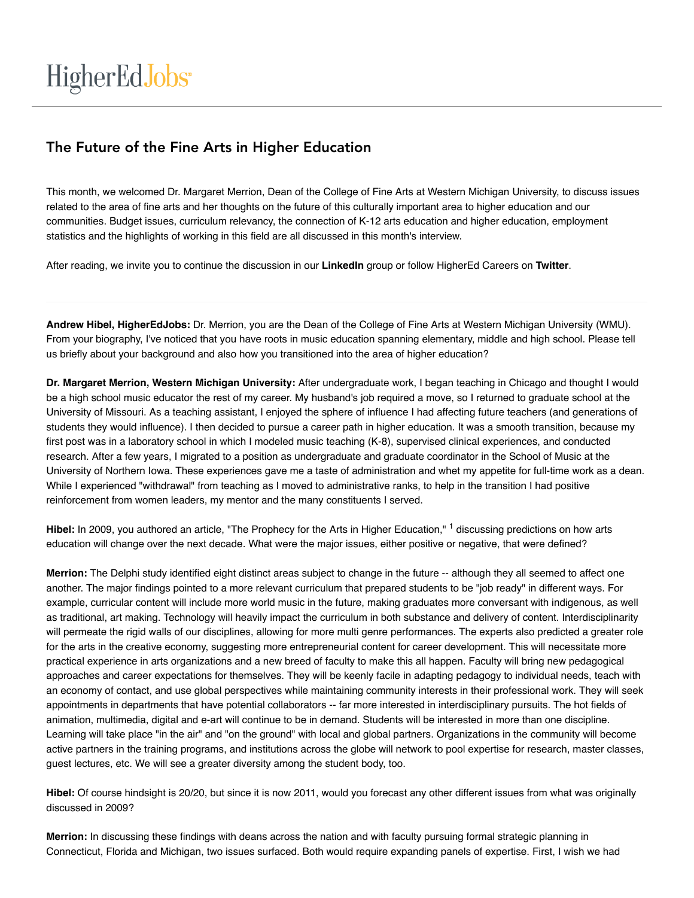# The Future of the Fine Arts in Higher Education

This month, we welcomed Dr. Margaret Merrion, Dean of the College of Fine Arts at Western Michigan University, to discuss issues related to the area of fine arts and her thoughts on the future of this culturally important area to higher education and our communities. Budget issues, curriculum relevancy, the connection of K-12 arts education and higher education, employment statistics and the highlights of working in this field are all discussed in this month's interview.

After reading, we invite you to continue the discussion in our **LinkedIn** group or follow HigherEd Careers on **Twitter**.

**Andrew Hibel, HigherEdJobs:** Dr. Merrion, you are the Dean of the College of Fine Arts at Western Michigan University (WMU). From your biography, I've noticed that you have roots in music education spanning elementary, middle and high school. Please tell us briefly about your background and also how you transitioned into the area of higher education?

**Dr. Margaret Merrion, Western Michigan University:** After undergraduate work, I began teaching in Chicago and thought I would be a high school music educator the rest of my career. My husband's job required a move, so I returned to graduate school at the University of Missouri. As a teaching assistant, I enjoyed the sphere of influence I had affecting future teachers (and generations of students they would influence). I then decided to pursue a career path in higher education. It was a smooth transition, because my first post was in a laboratory school in which I modeled music teaching (K-8), supervised clinical experiences, and conducted research. After a few years, I migrated to a position as undergraduate and graduate coordinator in the School of Music at the University of Northern Iowa. These experiences gave me a taste of administration and whet my appetite for full-time work as a dean. While I experienced "withdrawal" from teaching as I moved to administrative ranks, to help in the transition I had positive reinforcement from women leaders, my mentor and the many constituents I served.

Hibel: In 2009, you authored an article, "The Prophecy for the Arts in Higher Education," <sup>1</sup> discussing predictions on how arts education will change over the next decade. What were the major issues, either positive or negative, that were defined?

**Merrion:** The Delphi study identified eight distinct areas subject to change in the future -- although they all seemed to affect one another. The major findings pointed to a more relevant curriculum that prepared students to be "job ready" in different ways. For example, curricular content will include more world music in the future, making graduates more conversant with indigenous, as well as traditional, art making. Technology will heavily impact the curriculum in both substance and delivery of content. Interdisciplinarity will permeate the rigid walls of our disciplines, allowing for more multi genre performances. The experts also predicted a greater role for the arts in the creative economy, suggesting more entrepreneurial content for career development. This will necessitate more practical experience in arts organizations and a new breed of faculty to make this all happen. Faculty will bring new pedagogical approaches and career expectations for themselves. They will be keenly facile in adapting pedagogy to individual needs, teach with an economy of contact, and use global perspectives while maintaining community interests in their professional work. They will seek appointments in departments that have potential collaborators -- far more interested in interdisciplinary pursuits. The hot fields of animation, multimedia, digital and e-art will continue to be in demand. Students will be interested in more than one discipline. Learning will take place "in the air" and "on the ground" with local and global partners. Organizations in the community will become active partners in the training programs, and institutions across the globe will network to pool expertise for research, master classes, guest lectures, etc. We will see a greater diversity among the student body, too.

**Hibel:** Of course hindsight is 20/20, but since it is now 2011, would you forecast any other different issues from what was originally discussed in 2009?

**Merrion:** In discussing these findings with deans across the nation and with faculty pursuing formal strategic planning in Connecticut, Florida and Michigan, two issues surfaced. Both would require expanding panels of expertise. First, I wish we had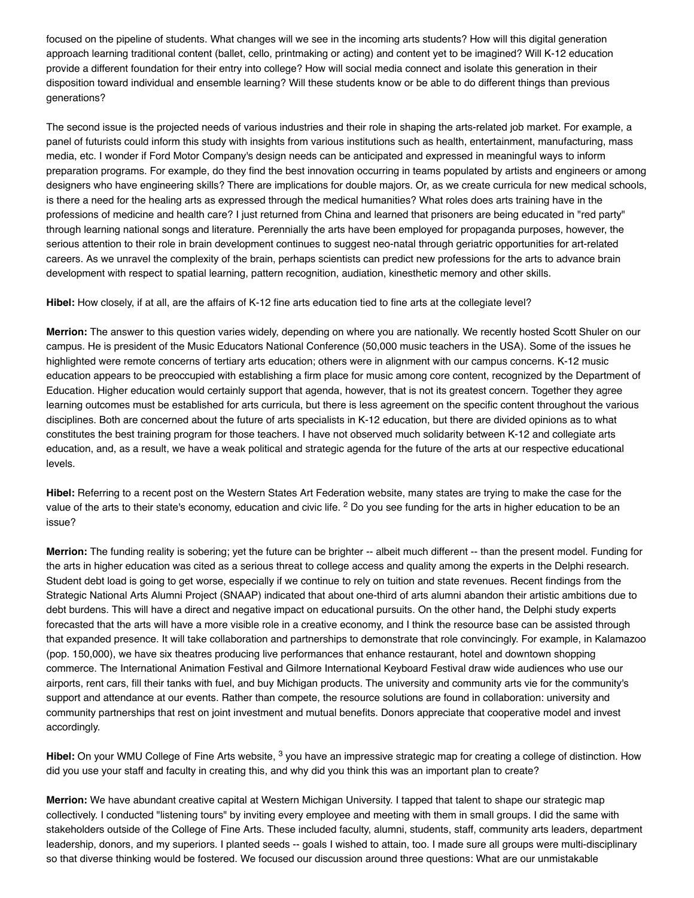focused on the pipeline of students. What changes will we see in the incoming arts students? How will this digital generation approach learning traditional content (ballet, cello, printmaking or acting) and content yet to be imagined? Will K-12 education provide a different foundation for their entry into college? How will social media connect and isolate this generation in their disposition toward individual and ensemble learning? Will these students know or be able to do different things than previous generations?

The second issue is the projected needs of various industries and their role in shaping the arts-related job market. For example, a panel of futurists could inform this study with insights from various institutions such as health, entertainment, manufacturing, mass media, etc. I wonder if Ford Motor Company's design needs can be anticipated and expressed in meaningful ways to inform preparation programs. For example, do they find the best innovation occurring in teams populated by artists and engineers or among designers who have engineering skills? There are implications for double majors. Or, as we create curricula for new medical schools, is there a need for the healing arts as expressed through the medical humanities? What roles does arts training have in the professions of medicine and health care? I just returned from China and learned that prisoners are being educated in "red party" through learning national songs and literature. Perennially the arts have been employed for propaganda purposes, however, the serious attention to their role in brain development continues to suggest neo-natal through geriatric opportunities for art-related careers. As we unravel the complexity of the brain, perhaps scientists can predict new professions for the arts to advance brain development with respect to spatial learning, pattern recognition, audiation, kinesthetic memory and other skills.

**Hibel:** How closely, if at all, are the affairs of K-12 fine arts education tied to fine arts at the collegiate level?

**Merrion:** The answer to this question varies widely, depending on where you are nationally. We recently hosted Scott Shuler on our campus. He is president of the Music Educators National Conference (50,000 music teachers in the USA). Some of the issues he highlighted were remote concerns of tertiary arts education; others were in alignment with our campus concerns. K-12 music education appears to be preoccupied with establishing a firm place for music among core content, recognized by the Department of Education. Higher education would certainly support that agenda, however, that is not its greatest concern. Together they agree learning outcomes must be established for arts curricula, but there is less agreement on the specific content throughout the various disciplines. Both are concerned about the future of arts specialists in K-12 education, but there are divided opinions as to what constitutes the best training program for those teachers. I have not observed much solidarity between K-12 and collegiate arts education, and, as a result, we have a weak political and strategic agenda for the future of the arts at our respective educational levels.

**Hibel:** Referring to a recent post on the Western States Art Federation website, many states are trying to make the case for the value of the arts to their state's economy, education and civic life.  $^2$  Do you see funding for the arts in higher education to be an issue?

**Merrion:** The funding reality is sobering; yet the future can be brighter -- albeit much different -- than the present model. Funding for the arts in higher education was cited as a serious threat to college access and quality among the experts in the Delphi research. Student debt load is going to get worse, especially if we continue to rely on tuition and state revenues. Recent findings from the Strategic National Arts Alumni Project (SNAAP) indicated that about one-third of arts alumni abandon their artistic ambitions due to debt burdens. This will have a direct and negative impact on educational pursuits. On the other hand, the Delphi study experts forecasted that the arts will have a more visible role in a creative economy, and I think the resource base can be assisted through that expanded presence. It will take collaboration and partnerships to demonstrate that role convincingly. For example, in Kalamazoo (pop. 150,000), we have six theatres producing live performances that enhance restaurant, hotel and downtown shopping commerce. The International Animation Festival and Gilmore International Keyboard Festival draw wide audiences who use our airports, rent cars, fill their tanks with fuel, and buy Michigan products. The university and community arts vie for the community's support and attendance at our events. Rather than compete, the resource solutions are found in collaboration: university and community partnerships that rest on joint investment and mutual benefits. Donors appreciate that cooperative model and invest accordingly.

Hibel: On your WMU College of Fine Arts website, <sup>3</sup> you have an impressive strategic map for creating a college of distinction. How did you use your staff and faculty in creating this, and why did you think this was an important plan to create?

**Merrion:** We have abundant creative capital at Western Michigan University. I tapped that talent to shape our strategic map collectively. I conducted "listening tours" by inviting every employee and meeting with them in small groups. I did the same with stakeholders outside of the College of Fine Arts. These included faculty, alumni, students, staff, community arts leaders, department leadership, donors, and my superiors. I planted seeds -- goals I wished to attain, too. I made sure all groups were multi-disciplinary so that diverse thinking would be fostered. We focused our discussion around three questions: What are our unmistakable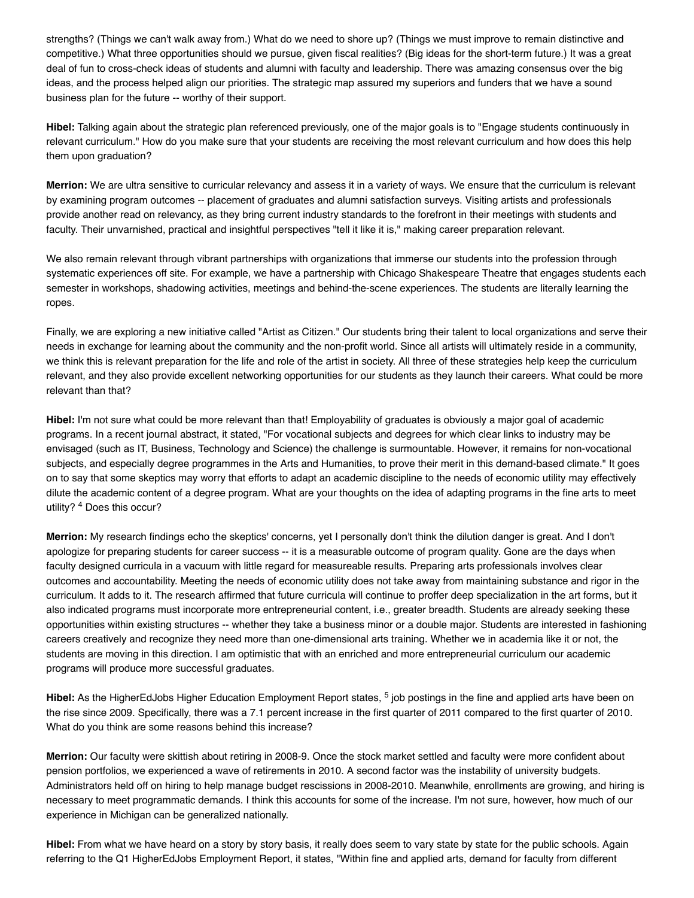strengths? (Things we can't walk away from.) What do we need to shore up? (Things we must improve to remain distinctive and competitive.) What three opportunities should we pursue, given fiscal realities? (Big ideas for the short-term future.) It was a great deal of fun to cross-check ideas of students and alumni with faculty and leadership. There was amazing consensus over the big ideas, and the process helped align our priorities. The strategic map assured my superiors and funders that we have a sound business plan for the future -- worthy of their support.

**Hibel:** Talking again about the strategic plan referenced previously, one of the major goals is to "Engage students continuously in relevant curriculum." How do you make sure that your students are receiving the most relevant curriculum and how does this help them upon graduation?

**Merrion:** We are ultra sensitive to curricular relevancy and assess it in a variety of ways. We ensure that the curriculum is relevant by examining program outcomes -- placement of graduates and alumni satisfaction surveys. Visiting artists and professionals provide another read on relevancy, as they bring current industry standards to the forefront in their meetings with students and faculty. Their unvarnished, practical and insightful perspectives "tell it like it is," making career preparation relevant.

We also remain relevant through vibrant partnerships with organizations that immerse our students into the profession through systematic experiences off site. For example, we have a partnership with Chicago Shakespeare Theatre that engages students each semester in workshops, shadowing activities, meetings and behind-the-scene experiences. The students are literally learning the ropes.

Finally, we are exploring a new initiative called "Artist as Citizen." Our students bring their talent to local organizations and serve their needs in exchange for learning about the community and the non-profit world. Since all artists will ultimately reside in a community, we think this is relevant preparation for the life and role of the artist in society. All three of these strategies help keep the curriculum relevant, and they also provide excellent networking opportunities for our students as they launch their careers. What could be more relevant than that?

**Hibel:** I'm not sure what could be more relevant than that! Employability of graduates is obviously a major goal of academic programs. In a recent journal abstract, it stated, "For vocational subjects and degrees for which clear links to industry may be envisaged (such as IT, Business, Technology and Science) the challenge is surmountable. However, it remains for non-vocational subjects, and especially degree programmes in the Arts and Humanities, to prove their merit in this demand-based climate." It goes on to say that some skeptics may worry that efforts to adapt an academic discipline to the needs of economic utility may effectively dilute the academic content of a degree program. What are your thoughts on the idea of adapting programs in the fine arts to meet utility? <sup>4</sup> Does this occur?

**Merrion:** My research findings echo the skeptics' concerns, yet I personally don't think the dilution danger is great. And I don't apologize for preparing students for career success -- it is a measurable outcome of program quality. Gone are the days when faculty designed curricula in a vacuum with little regard for measureable results. Preparing arts professionals involves clear outcomes and accountability. Meeting the needs of economic utility does not take away from maintaining substance and rigor in the curriculum. It adds to it. The research affirmed that future curricula will continue to proffer deep specialization in the art forms, but it also indicated programs must incorporate more entrepreneurial content, i.e., greater breadth. Students are already seeking these opportunities within existing structures -- whether they take a business minor or a double major. Students are interested in fashioning careers creatively and recognize they need more than one-dimensional arts training. Whether we in academia like it or not, the students are moving in this direction. I am optimistic that with an enriched and more entrepreneurial curriculum our academic programs will produce more successful graduates.

Hibel: As the HigherEdJobs Higher Education Employment Report states, <sup>5</sup> job postings in the fine and applied arts have been on the rise since 2009. Specifically, there was a 7.1 percent increase in the first quarter of 2011 compared to the first quarter of 2010. What do you think are some reasons behind this increase?

**Merrion:** Our faculty were skittish about retiring in 2008-9. Once the stock market settled and faculty were more confident about pension portfolios, we experienced a wave of retirements in 2010. A second factor was the instability of university budgets. Administrators held off on hiring to help manage budget rescissions in 2008-2010. Meanwhile, enrollments are growing, and hiring is necessary to meet programmatic demands. I think this accounts for some of the increase. I'm not sure, however, how much of our experience in Michigan can be generalized nationally.

**Hibel:** From what we have heard on a story by story basis, it really does seem to vary state by state for the public schools. Again referring to the Q1 HigherEdJobs Employment Report, it states, "Within fine and applied arts, demand for faculty from different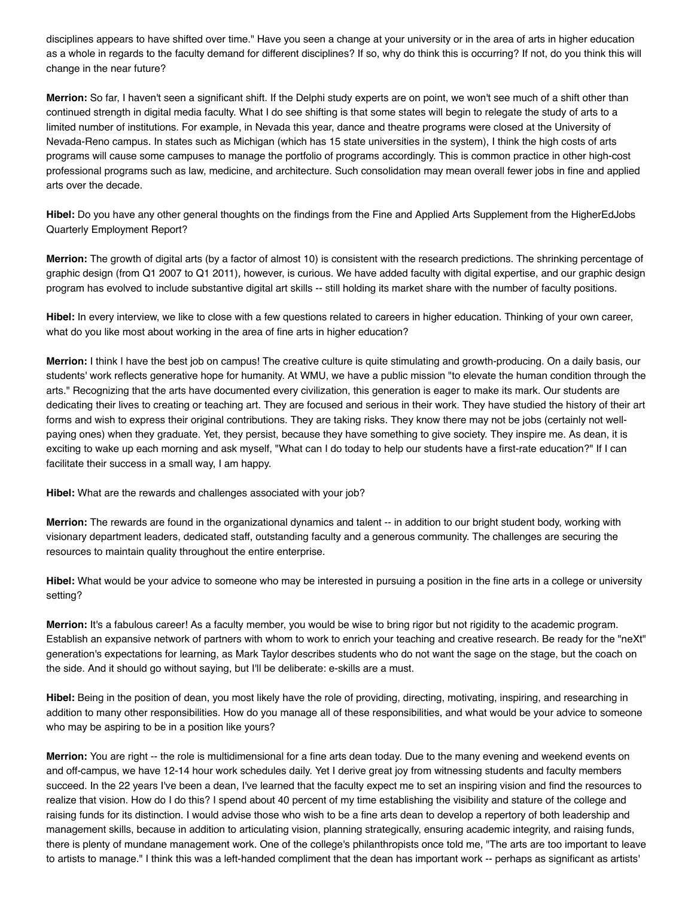disciplines appears to have shifted over time." Have you seen a change at your university or in the area of arts in higher education as a whole in regards to the faculty demand for different disciplines? If so, why do think this is occurring? If not, do you think this will change in the near future?

**Merrion:** So far, I haven't seen a significant shift. If the Delphi study experts are on point, we won't see much of a shift other than continued strength in digital media faculty. What I do see shifting is that some states will begin to relegate the study of arts to a limited number of institutions. For example, in Nevada this year, dance and theatre programs were closed at the University of Nevada-Reno campus. In states such as Michigan (which has 15 state universities in the system), I think the high costs of arts programs will cause some campuses to manage the portfolio of programs accordingly. This is common practice in other high-cost professional programs such as law, medicine, and architecture. Such consolidation may mean overall fewer jobs in fine and applied arts over the decade.

**Hibel:** Do you have any other general thoughts on the findings from the Fine and Applied Arts Supplement from the HigherEdJobs Quarterly Employment Report?

**Merrion:** The growth of digital arts (by a factor of almost 10) is consistent with the research predictions. The shrinking percentage of graphic design (from Q1 2007 to Q1 2011), however, is curious. We have added faculty with digital expertise, and our graphic design program has evolved to include substantive digital art skills -- still holding its market share with the number of faculty positions.

**Hibel:** In every interview, we like to close with a few questions related to careers in higher education. Thinking of your own career, what do you like most about working in the area of fine arts in higher education?

**Merrion:** I think I have the best job on campus! The creative culture is quite stimulating and growth-producing. On a daily basis, our students' work reflects generative hope for humanity. At WMU, we have a public mission "to elevate the human condition through the arts." Recognizing that the arts have documented every civilization, this generation is eager to make its mark. Our students are dedicating their lives to creating or teaching art. They are focused and serious in their work. They have studied the history of their art forms and wish to express their original contributions. They are taking risks. They know there may not be jobs (certainly not wellpaying ones) when they graduate. Yet, they persist, because they have something to give society. They inspire me. As dean, it is exciting to wake up each morning and ask myself, "What can I do today to help our students have a first-rate education?" If I can facilitate their success in a small way, I am happy.

**Hibel:** What are the rewards and challenges associated with your job?

**Merrion:** The rewards are found in the organizational dynamics and talent -- in addition to our bright student body, working with visionary department leaders, dedicated staff, outstanding faculty and a generous community. The challenges are securing the resources to maintain quality throughout the entire enterprise.

**Hibel:** What would be your advice to someone who may be interested in pursuing a position in the fine arts in a college or university setting?

**Merrion:** It's a fabulous career! As a faculty member, you would be wise to bring rigor but not rigidity to the academic program. Establish an expansive network of partners with whom to work to enrich your teaching and creative research. Be ready for the "neXt" generation's expectations for learning, as Mark Taylor describes students who do not want the sage on the stage, but the coach on the side. And it should go without saying, but I'll be deliberate: e-skills are a must.

**Hibel:** Being in the position of dean, you most likely have the role of providing, directing, motivating, inspiring, and researching in addition to many other responsibilities. How do you manage all of these responsibilities, and what would be your advice to someone who may be aspiring to be in a position like yours?

**Merrion:** You are right -- the role is multidimensional for a fine arts dean today. Due to the many evening and weekend events on and off-campus, we have 12-14 hour work schedules daily. Yet I derive great joy from witnessing students and faculty members succeed. In the 22 years I've been a dean, I've learned that the faculty expect me to set an inspiring vision and find the resources to realize that vision. How do I do this? I spend about 40 percent of my time establishing the visibility and stature of the college and raising funds for its distinction. I would advise those who wish to be a fine arts dean to develop a repertory of both leadership and management skills, because in addition to articulating vision, planning strategically, ensuring academic integrity, and raising funds, there is plenty of mundane management work. One of the college's philanthropists once told me, "The arts are too important to leave to artists to manage." I think this was a left-handed compliment that the dean has important work -- perhaps as significant as artists'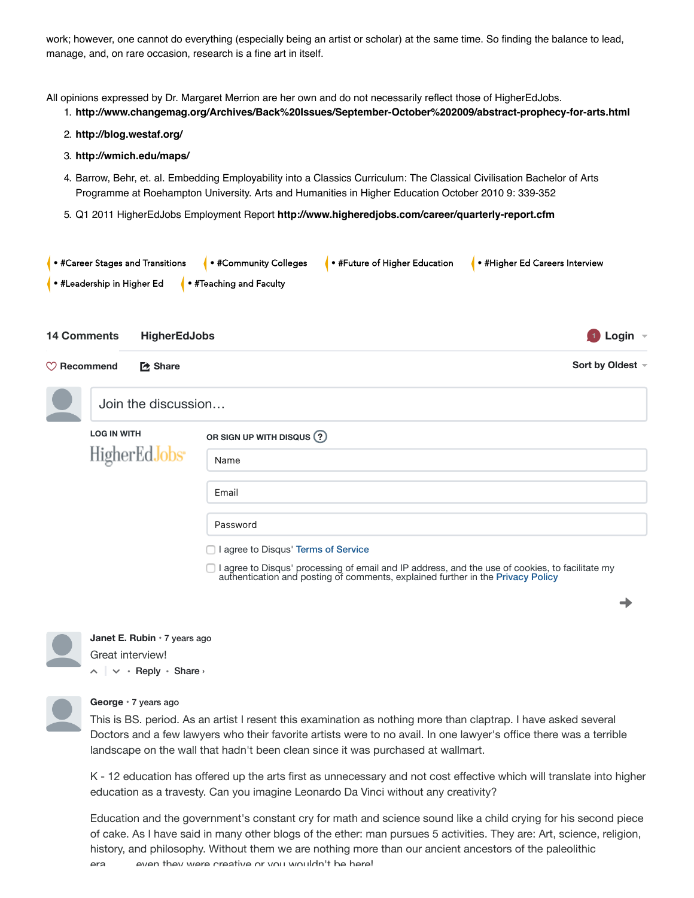work; however, one cannot do everything (especially being an artist or scholar) at the same time. So finding the balance to lead, manage, and, on rare occasion, research is a fine art in itself.

All opinions expressed by Dr. Margaret Merrion are her own and do not necessarily reflect those of HigherEdJobs.

- 1. **http://www.changemag.org/Archives/Back%20Issues/September-October%202009/abstract-prophecy-for-arts.html**
- 2. **http://blog.westaf.org/**
- 3. **http://wmich.edu/maps/**
- 4. Barrow, Behr, et. al. Embedding Employability into a Classics Curriculum: The Classical Civilisation Bachelor of Arts Programme at Roehampton University. Arts and Humanities in Higher Education October 2010 9: 339-352
- 5. Q1 2011 HigherEdJobs Employment Report **http://www.higheredjobs.com/career/quarterly-report.cfm**

| $\bullet$ #Career Stages and Transitions |                     | $\bullet$ #Community Colleges | • #Future of Higher Education | . • #Higher Ed Careers Interview |                                           |
|------------------------------------------|---------------------|-------------------------------|-------------------------------|----------------------------------|-------------------------------------------|
| $\bullet$ #Leadership in Higher Ed       |                     | • #Teaching and Faculty       |                               |                                  |                                           |
|                                          |                     |                               |                               |                                  |                                           |
| <b>14 Comments</b>                       | <b>HigherEdJobs</b> |                               |                               |                                  | $\blacksquare$ Login $\blacktriangledown$ |

⤤**Share Sort by Oldest**

→

| <b>LOG IN WITH</b>        | OR SIGN UP WITH DISQUS ? |
|---------------------------|--------------------------|
| HigherEdJobs <sup>*</sup> | Name                     |
|                           | Email                    |
|                           | Password                 |

□ I agree to Disqus' processing of email and IP address, and the use of cookies, to facilitate my authentication and posting of comments, explained further in the Privacy Policy



**Recommend**

 $\land \mid \lor \cdot$  Reply  $\cdot$  Share  $\land$ **Janet E. Rubin** • 7 years ago Great interview!

Join the discussion…

### **George** • 7 years ago

This is BS. period. As an artist I resent this examination as nothing more than claptrap. I have asked several Doctors and a few lawyers who their favorite artists were to no avail. In one lawyer's office there was a terrible landscape on the wall that hadn't been clean since it was purchased at wallmart.

K - 12 education has offered up the arts first as unnecessary and not cost effective which will translate into higher education as a travesty. Can you imagine Leonardo Da Vinci without any creativity?

Education and the government's constant cry for math and science sound like a child crying for his second piece of cake. As I have said in many other blogs of the ether: man pursues 5 activities. They are: Art, science, religion, history, and philosophy. Without them we are nothing more than our ancient ancestors of the paleolithic era even they were creative or you wouldn't be here!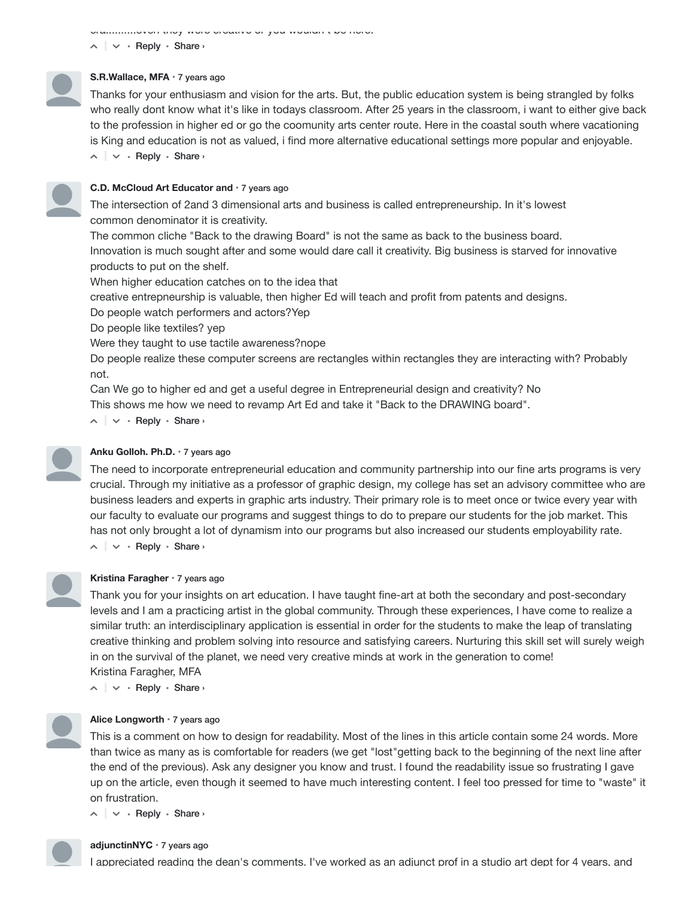era..........even they were creative or you wouldn t be here!

 $\land \mid \lor \cdot$  Reply  $\cdot$  Share  $\land$ 

# **S.R.Wallace, MFA** • 7 years ago

Thanks for your enthusiasm and vision for the arts. But, the public education system is being strangled by folks who really dont know what it's like in todays classroom. After 25 years in the classroom, i want to either give back to the profession in higher ed or go the coomunity arts center route. Here in the coastal south where vacationing is King and education is not as valued, i find more alternative educational settings more popular and enjoyable.

 $\land \mid \lor \cdot$  Reply  $\cdot$  Share  $\land$ 

## **C.D. McCloud Art Educator and** • 7 years ago

The intersection of 2and 3 dimensional arts and business is called entrepreneurship. In it's lowest common denominator it is creativity.

The common cliche "Back to the drawing Board" is not the same as back to the business board. Innovation is much sought after and some would dare call it creativity. Big business is starved for innovative products to put on the shelf.

When higher education catches on to the idea that

creative entrepneurship is valuable, then higher Ed will teach and profit from patents and designs.

Do people watch performers and actors?Yep

Do people like textiles? yep

Were they taught to use tactile awareness?nope

Do people realize these computer screens are rectangles within rectangles they are interacting with? Probably not.

Can We go to higher ed and get a useful degree in Entrepreneurial design and creativity? No This shows me how we need to revamp Art Ed and take it "Back to the DRAWING board".

 $\land \mid \lor \cdot$  Reply  $\cdot$  Share  $\land$ 



## **Anku Golloh. Ph.D.** • 7 years ago

 $\wedge$  |  $\vee$  · Reply · Share › The need to incorporate entrepreneurial education and community partnership into our fine arts programs is very crucial. Through my initiative as a professor of graphic design, my college has set an advisory committee who are business leaders and experts in graphic arts industry. Their primary role is to meet once or twice every year with our faculty to evaluate our programs and suggest things to do to prepare our students for the job market. This has not only brought a lot of dynamism into our programs but also increased our students employability rate.



# **Kristina Faragher** • 7 years ago

Thank you for your insights on art education. I have taught fine-art at both the secondary and post-secondary levels and I am a practicing artist in the global community. Through these experiences, I have come to realize a similar truth: an interdisciplinary application is essential in order for the students to make the leap of translating creative thinking and problem solving into resource and satisfying careers. Nurturing this skill set will surely weigh in on the survival of the planet, we need very creative minds at work in the generation to come! Kristina Faragher, MFA

 $\land \mid \lor \cdot$  Reply  $\cdot$  Share  $\land$ 



#### **Alice Longworth** • 7 years ago

This is a comment on how to design for readability. Most of the lines in this article contain some 24 words. More than twice as many as is comfortable for readers (we get "lost"getting back to the beginning of the next line after the end of the previous). Ask any designer you know and trust. I found the readability issue so frustrating I gave up on the article, even though it seemed to have much interesting content. I feel too pressed for time to "waste" it on frustration.

 $\land \mid \lor \cdot$  Reply  $\cdot$  Share  $\land$ 



#### **adjunctinNYC** • 7 years ago

I appreciated reading the dean's comments. I've worked as an adjunct prof in a studio art dept for 4 years, and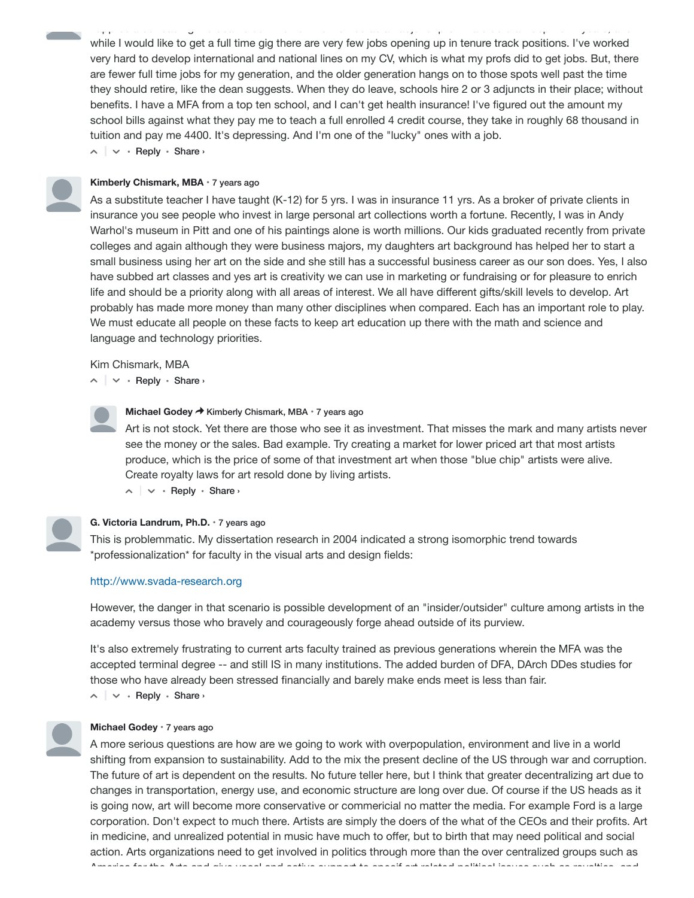$\land \mid \lor \cdot$  Reply  $\cdot$  Share  $\land$ while I would like to get a full time gig there are very few jobs opening up in tenure track positions. I've worked very hard to develop international and national lines on my CV, which is what my profs did to get jobs. But, there are fewer full time jobs for my generation, and the older generation hangs on to those spots well past the time they should retire, like the dean suggests. When they do leave, schools hire 2 or 3 adjuncts in their place; without benefits. I have a MFA from a top ten school, and I can't get health insurance! I've figured out the amount my school bills against what they pay me to teach a full enrolled 4 credit course, they take in roughly 68 thousand in tuition and pay me 4400. It's depressing. And I'm one of the "lucky" ones with a job.

app ec a ed ead g e co ed as e s e s e s e s ed as adju c p o s a co as a adju c yea s, a d

## **Kimberly Chismark, MBA** • 7 years ago

As a substitute teacher I have taught (K-12) for 5 yrs. I was in insurance 11 yrs. As a broker of private clients in insurance you see people who invest in large personal art collections worth a fortune. Recently, I was in Andy Warhol's museum in Pitt and one of his paintings alone is worth millions. Our kids graduated recently from private colleges and again although they were business majors, my daughters art background has helped her to start a small business using her art on the side and she still has a successful business career as our son does. Yes, I also have subbed art classes and yes art is creativity we can use in marketing or fundraising or for pleasure to enrich life and should be a priority along with all areas of interest. We all have different gifts/skill levels to develop. Art probably has made more money than many other disciplines when compared. Each has an important role to play. We must educate all people on these facts to keep art education up there with the math and science and language and technology priorities.

Kim Chismark, MBA

 $\land \mid \lor \cdot$  Reply  $\cdot$  Share  $\land$ 

#### **Michael Godey → Kimberly Chismark, MBA • 7 years ago**

Art is not stock. Yet there are those who see it as investment. That misses the mark and many artists never see the money or the sales. Bad example. Try creating a market for lower priced art that most artists produce, which is the price of some of that investment art when those "blue chip" artists were alive. Create royalty laws for art resold done by living artists.

 $\sim$   $\sim$   $\cdot$  Reply  $\cdot$  Share  $\sim$ 

## **G. Victoria Landrum, Ph.D.** • 7 years ago

This is problemmatic. My dissertation research in 2004 indicated a strong isomorphic trend towards \*professionalization\* for faculty in the visual arts and design fields:

## http://www.svada-research.org

However, the danger in that scenario is possible development of an "insider/outsider" culture among artists in the academy versus those who bravely and courageously forge ahead outside of its purview.

 $\land \mid \lor \cdot$  Reply  $\cdot$  Share  $\land$ It's also extremely frustrating to current arts faculty trained as previous generations wherein the MFA was the accepted terminal degree -- and still IS in many institutions. The added burden of DFA, DArch DDes studies for those who have already been stressed financially and barely make ends meet is less than fair.



#### **Michael Godey** • 7 years ago

A more serious questions are how are we going to work with overpopulation, environment and live in a world shifting from expansion to sustainability. Add to the mix the present decline of the US through war and corruption. The future of art is dependent on the results. No future teller here, but I think that greater decentralizing art due to changes in transportation, energy use, and economic structure are long over due. Of course if the US heads as it is going now, art will become more conservative or commericial no matter the media. For example Ford is a large corporation. Don't expect to much there. Artists are simply the doers of the what of the CEOs and their profits. Art in medicine, and unrealized potential in music have much to offer, but to birth that may need political and social action. Arts organizations need to get involved in politics through more than the over centralized groups such as America for the Arts and give vocal and active support to specif art related political issues such as royalties and